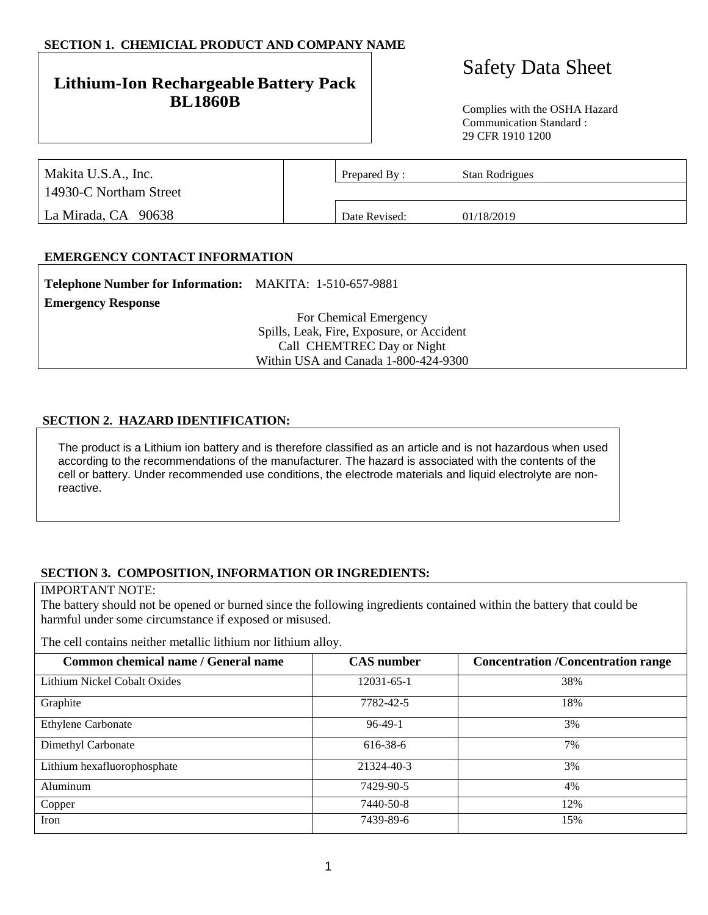## **SECTION 1. CHEMICIAL PRODUCT AND COMPANY NAME**

## **Lithium-Ion Rechargeable Battery Pack BL1860B** Complies with the OSHA Hazard

# Safety Data Sheet

Communication Standard : 29 CFR 1910 1200

| Makita U.S.A., Inc.    | Prepared By:  | Stan Rodrigues |  |
|------------------------|---------------|----------------|--|
| 14930-C Northam Street |               |                |  |
| La Mirada, CA 90638    | Date Revised: | 01/18/2019     |  |

## **EMERGENCY CONTACT INFORMATION**

| <b>Telephone Number for Information:</b> MAKITA: 1-510-657-9881 |                                           |
|-----------------------------------------------------------------|-------------------------------------------|
| <b>Emergency Response</b>                                       |                                           |
|                                                                 | For Chemical Emergency                    |
|                                                                 | Spills, Leak, Fire, Exposure, or Accident |
|                                                                 | Call CHEMTREC Day or Night                |
|                                                                 | Within USA and Canada 1-800-424-9300      |

#### **SECTION 2. HAZARD IDENTIFICATION:**

The product is a Lithium ion battery and is therefore classified as an article and is not hazardous when used according to the recommendations of the manufacturer. The hazard is associated with the contents of the cell or battery. Under recommended use conditions, the electrode materials and liquid electrolyte are nonreactive.

## **SECTION 3. COMPOSITION, INFORMATION OR INGREDIENTS:**

#### IMPORTANT NOTE:

The battery should not be opened or burned since the following ingredients contained within the battery that could be harmful under some circumstance if exposed or misused.

The cell contains neither metallic lithium nor lithium alloy.

| Common chemical name / General name | <b>CAS</b> number | <b>Concentration /Concentration range</b> |
|-------------------------------------|-------------------|-------------------------------------------|
| Lithium Nickel Cobalt Oxides        | 12031-65-1        | 38%                                       |
| Graphite                            | 7782-42-5         | 18%                                       |
| <b>Ethylene Carbonate</b>           | $96-49-1$         | 3%                                        |
| Dimethyl Carbonate                  | 616-38-6          | 7%                                        |
| Lithium hexafluorophosphate         | 21324-40-3        | 3%                                        |
| Aluminum                            | 7429-90-5         | 4%                                        |
| Copper                              | 7440-50-8         | 12%                                       |
| Iron                                | 7439-89-6         | 15%                                       |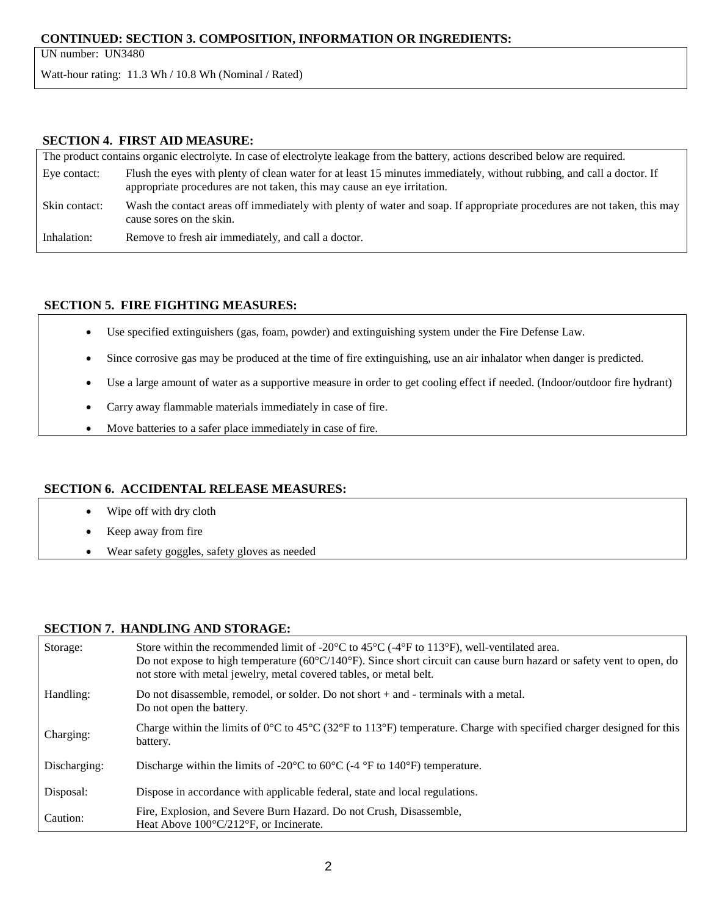## **CONTINUED: SECTION 3. COMPOSITION, INFORMATION OR INGREDIENTS:**

UN number: UN3480

Watt-hour rating: 11.3 Wh / 10.8 Wh (Nominal / Rated)

## **SECTION 4. FIRST AID MEASURE:**

| The product contains organic electrolyte. In case of electrolyte leakage from the battery, actions described below are required. |                                                                                                                                                                                                  |  |
|----------------------------------------------------------------------------------------------------------------------------------|--------------------------------------------------------------------------------------------------------------------------------------------------------------------------------------------------|--|
| Eye contact:                                                                                                                     | Flush the eyes with plenty of clean water for at least 15 minutes immediately, without rubbing, and call a doctor. If<br>appropriate procedures are not taken, this may cause an eye irritation. |  |
| Skin contact:                                                                                                                    | Wash the contact areas off immediately with plenty of water and soap. If appropriate procedures are not taken, this may<br>cause sores on the skin.                                              |  |
| Inhalation:                                                                                                                      | Remove to fresh air immediately, and call a doctor.                                                                                                                                              |  |

## **SECTION 5. FIRE FIGHTING MEASURES:**

- Use specified extinguishers (gas, foam, powder) and extinguishing system under the Fire Defense Law.
- Since corrosive gas may be produced at the time of fire extinguishing, use an air inhalator when danger is predicted.
- Use a large amount of water as a supportive measure in order to get cooling effect if needed. (Indoor/outdoor fire hydrant)
- Carry away flammable materials immediately in case of fire.
- Move batteries to a safer place immediately in case of fire.

## **SECTION 6. ACCIDENTAL RELEASE MEASURES:**

- Wipe off with dry cloth
- Keep away from fire
- Wear safety goggles, safety gloves as needed

#### **SECTION 7. HANDLING AND STORAGE:**

| Storage:     | Store within the recommended limit of -20 $\degree$ C to 45 $\degree$ C (-4 $\degree$ F to 113 $\degree$ F), well-ventilated area.<br>Do not expose to high temperature $(60^{\circ}C/140^{\circ}F)$ . Since short circuit can cause burn hazard or safety vent to open, do<br>not store with metal jewelry, metal covered tables, or metal belt. |
|--------------|---------------------------------------------------------------------------------------------------------------------------------------------------------------------------------------------------------------------------------------------------------------------------------------------------------------------------------------------------|
| Handling:    | Do not disassemble, remodel, or solder. Do not short $+$ and $-$ terminals with a metal.<br>Do not open the battery.                                                                                                                                                                                                                              |
| Charging:    | Charge within the limits of $0^{\circ}$ C to $45^{\circ}$ C (32 $^{\circ}$ F to 113 $^{\circ}$ F) temperature. Charge with specified charger designed for this<br>battery.                                                                                                                                                                        |
| Discharging: | Discharge within the limits of -20 $\rm{^{\circ}C}$ to 60 $\rm{^{\circ}C}$ (-4 $\rm{^{\circ}F}$ to 140 $\rm{^{\circ}F}$ ) temperature.                                                                                                                                                                                                            |
| Disposal:    | Dispose in accordance with applicable federal, state and local regulations.                                                                                                                                                                                                                                                                       |
| Caution:     | Fire, Explosion, and Severe Burn Hazard. Do not Crush, Disassemble,<br>Heat Above $100^{\circ}$ C/212 <sup>o</sup> F, or Incinerate.                                                                                                                                                                                                              |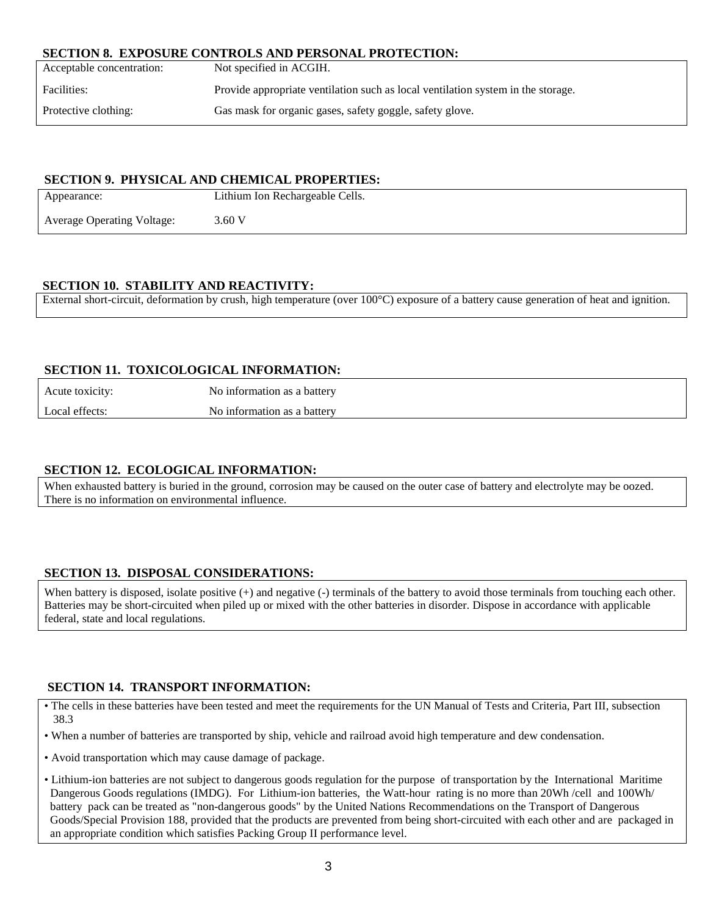#### **SECTION 8. EXPOSURE CONTROLS AND PERSONAL PROTECTION:**

| Acceptable concentration: | Not specified in ACGIH.                                                          |
|---------------------------|----------------------------------------------------------------------------------|
| Facilities:               | Provide appropriate ventilation such as local ventilation system in the storage. |
| Protective clothing:      | Gas mask for organic gases, safety goggle, safety glove.                         |

#### **SECTION 9. PHYSICAL AND CHEMICAL PROPERTIES:**

| Appearance:                       | Lithium Ion Rechargeable Cells. |
|-----------------------------------|---------------------------------|
| <b>Average Operating Voltage:</b> | 3.60 V                          |

## **SECTION 10. STABILITY AND REACTIVITY:**

External short-circuit, deformation by crush, high temperature (over 100°C) exposure of a battery cause generation of heat and ignition.

## **SECTION 11. TOXICOLOGICAL INFORMATION:**

| Acute toxicity: | No information as a battery |
|-----------------|-----------------------------|
| Local effects:  | No information as a battery |

## **SECTION 12. ECOLOGICAL INFORMATION:**

When exhausted battery is buried in the ground, corrosion may be caused on the outer case of battery and electrolyte may be oozed. There is no information on environmental influence.

## **SECTION 13. DISPOSAL CONSIDERATIONS:**

When battery is disposed, isolate positive  $(+)$  and negative  $(-)$  terminals of the battery to avoid those terminals from touching each other. Batteries may be short-circuited when piled up or mixed with the other batteries in disorder. Dispose in accordance with applicable federal, state and local regulations.

## **SECTION 14. TRANSPORT INFORMATION:**

- The cells in these batteries have been tested and meet the requirements for the UN Manual of Tests and Criteria, Part III, subsection 38.3
- When a number of batteries are transported by ship, vehicle and railroad avoid high temperature and dew condensation.
- Avoid transportation which may cause damage of package.
- Lithium-ion batteries are not subject to dangerous goods regulation for the purpose of transportation by the International Maritime Dangerous Goods regulations (IMDG). For Lithium-ion batteries, the Watt-hour rating is no more than 20Wh /cell and 100Wh/ battery pack can be treated as "non-dangerous goods" by the United Nations Recommendations on the Transport of Dangerous Goods/Special Provision 188, provided that the products are prevented from being short-circuited with each other and are packaged in an appropriate condition which satisfies Packing Group II performance level.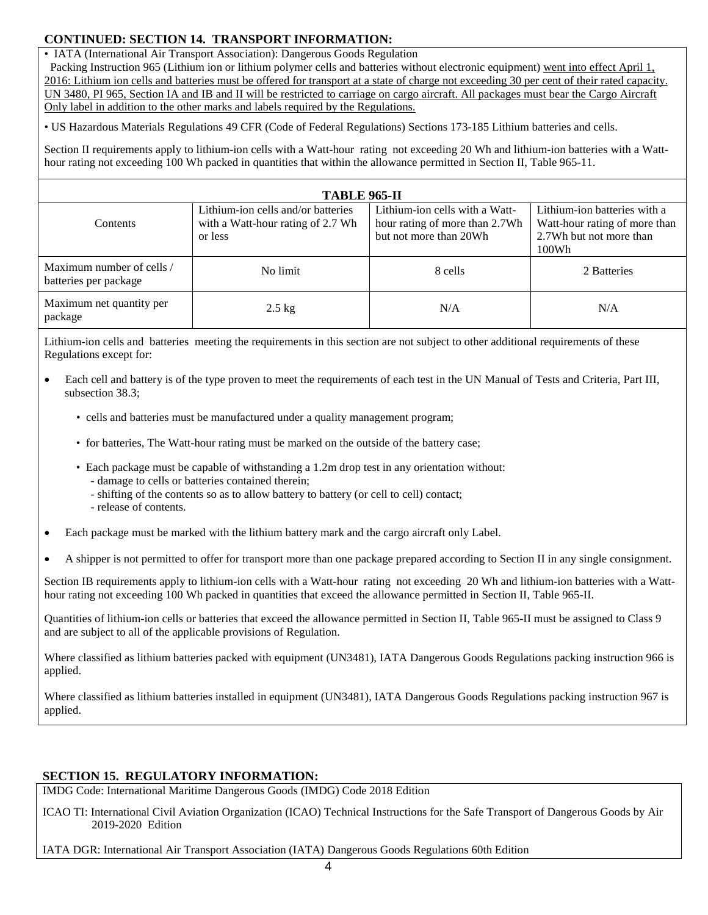## **CONTINUED: SECTION 14. TRANSPORT INFORMATION:**

• IATA (International Air Transport Association): Dangerous Goods Regulation

 Packing Instruction 965 (Lithium ion or lithium polymer cells and batteries without electronic equipment) went into effect April 1, 2016: Lithium ion cells and batteries must be offered for transport at a state of charge not exceeding 30 per cent of their rated capacity. UN 3480, PI 965, Section IA and IB and II will be restricted to carriage on cargo aircraft. All packages must bear the Cargo Aircraft Only label in addition to the other marks and labels required by the Regulations.

• US Hazardous Materials Regulations 49 CFR (Code of Federal Regulations) Sections 173-185 Lithium batteries and cells.

Section II requirements apply to lithium-ion cells with a Watt-hour rating not exceeding 20 Wh and lithium-ion batteries with a Watthour rating not exceeding 100 Wh packed in quantities that within the allowance permitted in Section II, Table 965-11.

| <b>TABLE 965-II</b>                                |                                                                                    |                                                                                            |                                                                                                   |
|----------------------------------------------------|------------------------------------------------------------------------------------|--------------------------------------------------------------------------------------------|---------------------------------------------------------------------------------------------------|
| Contents                                           | Lithium-ion cells and/or batteries<br>with a Watt-hour rating of 2.7 Wh<br>or less | Lithium-ion cells with a Watt-<br>hour rating of more than 2.7Wh<br>but not more than 20Wh | Lithium-ion batteries with a<br>Watt-hour rating of more than<br>2.7Wh but not more than<br>100Wh |
| Maximum number of cells /<br>batteries per package | No limit                                                                           | 8 cells                                                                                    | 2 Batteries                                                                                       |
| Maximum net quantity per<br>package                | $2.5$ kg                                                                           | N/A                                                                                        | N/A                                                                                               |

Lithium-ion cells and batteries meeting the requirements in this section are not subject to other additional requirements of these Regulations except for:

- Each cell and battery is of the type proven to meet the requirements of each test in the UN Manual of Tests and Criteria, Part III, subsection 38.3;
	- cells and batteries must be manufactured under a quality management program;
	- for batteries, The Watt-hour rating must be marked on the outside of the battery case;
	- Each package must be capable of withstanding a 1.2m drop test in any orientation without:
		- damage to cells or batteries contained therein;
		- shifting of the contents so as to allow battery to battery (or cell to cell) contact;
		- release of contents.
- Each package must be marked with the lithium battery mark and the cargo aircraft only Label.
- A shipper is not permitted to offer for transport more than one package prepared according to Section II in any single consignment.

Section IB requirements apply to lithium-ion cells with a Watt-hour rating not exceeding 20 Wh and lithium-ion batteries with a Watthour rating not exceeding 100 Wh packed in quantities that exceed the allowance permitted in Section II, Table 965-II.

Quantities of lithium-ion cells or batteries that exceed the allowance permitted in Section II, Table 965-II must be assigned to Class 9 and are subject to all of the applicable provisions of Regulation.

Where classified as lithium batteries packed with equipment (UN3481), IATA Dangerous Goods Regulations packing instruction 966 is applied.

Where classified as lithium batteries installed in equipment (UN3481), IATA Dangerous Goods Regulations packing instruction 967 is applied.

## **SECTION 15. REGULATORY INFORMATION:**

IMDG Code: International Maritime Dangerous Goods (IMDG) Code 2018 Edition

ICAO TI: International Civil Aviation Organization (ICAO) Technical Instructions for the Safe Transport of Dangerous Goods by Air 2019-2020 Edition

IATA DGR: International Air Transport Association (IATA) Dangerous Goods Regulations 60th Edition